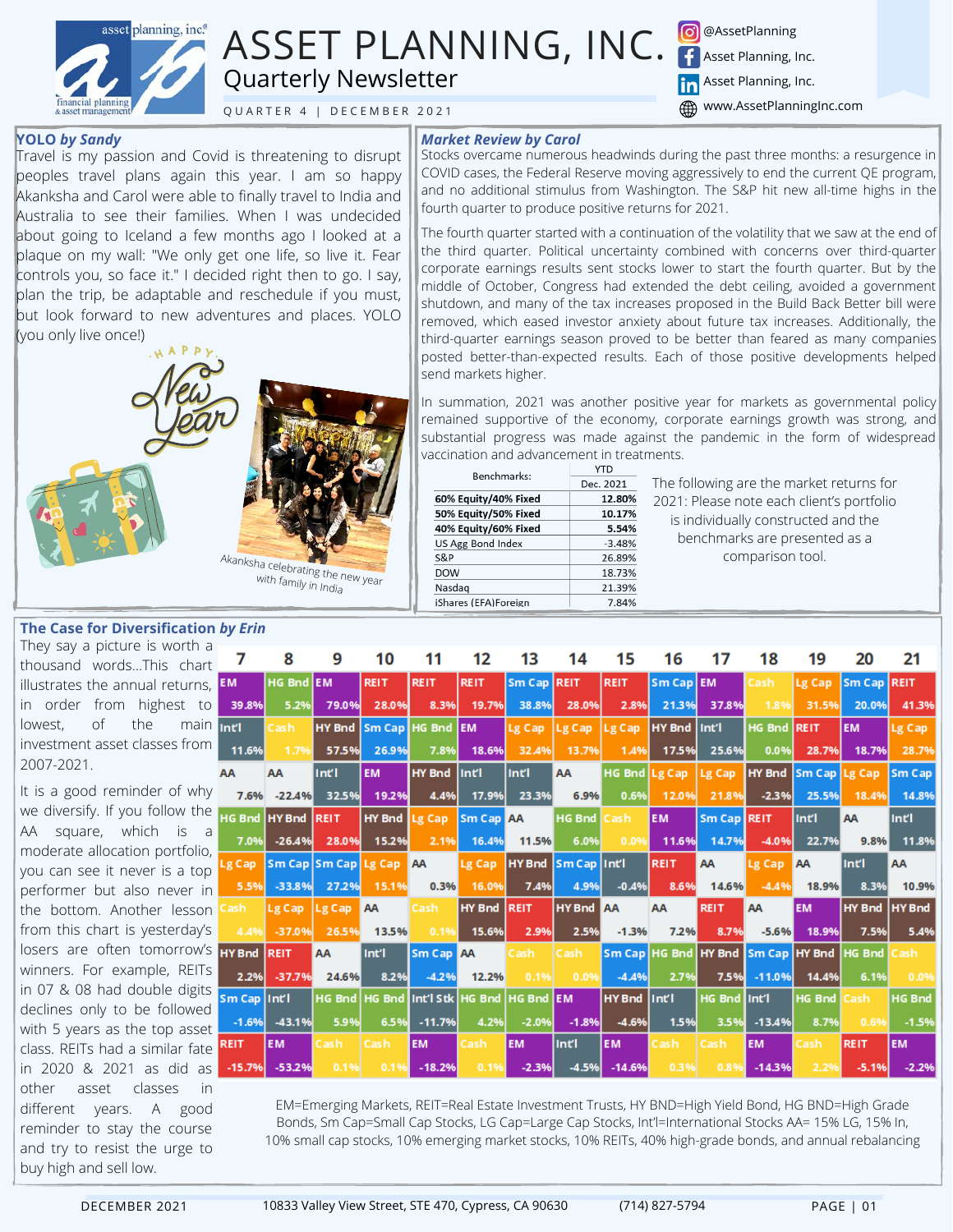

# ASSET PLANNING, INC. Quarterly Newsletter

Q U A R T E R 4 | D E C E M B E R 2021

**O** @AssetPlanning Asset Planning, Inc.

**Hn** Asset Planning, Inc.

**(4)** www.AssetPlanningInc.com

#### **YOLO** *by Sandy*

Travel is my passion and Covid is threatening to disrupt peoples travel plans again this year. I am so happy Akanksha and Carol were able to finally travel to India and Australia to see their families. When I was undecided about going to Iceland a few months ago I looked at a plaque on my wall: "We only get one life, so live it. Fear controls you, so face it." I decided right then to go. I say, plan the trip, be adaptable and reschedule if you must, but look forward to new adventures and places. YOLO (you only live once!)



### **The Case for Diversification** *by Erin*

They say a picture is worth thousand words...This cha illustrates the annual return. in order from highest t lowest, of the ma investment asset classes from 2007-2021.

It is a good reminder of wh we diversify. If you follow th AA square, which is moderate allocation portfolio you can see it never is a top performer but also never the bottom. Another lesso from this chart is yesterday losers are often tomorrow winners. For example, REIT in 07 & 08 had double digit declines only to be followe with 5 years as the top asset class. REITs had a similar fat in 2020 & 2021 as did a other asset classes in different years. A good reminder to stay the course and try to resist the urge to buy high and sell low.

# *Market Review by Carol*

Stocks overcame numerous headwinds during the past three months: a resurgence in COVID cases, the Federal Reserve moving aggressively to end the current QE program, and no additional stimulus from Washington. The S&P hit new all-time highs in the fourth quarter to produce positive returns for 2021.

The fourth quarter started with a continuation of the volatility that we saw at the end of the third quarter. Political uncertainty combined with concerns over third-quarter corporate earnings results sent stocks lower to start the fourth quarter. But by the middle of October, Congress had extended the debt ceiling, avoided a government shutdown, and many of the tax increases proposed in the Build Back Better bill were removed, which eased investor anxiety about future tax increases. Additionally, the third-quarter earnings season proved to be better than feared as many companies posted better-than-expected results. Each of those positive developments helped send markets higher.

In summation, 2021 was another positive year for markets as governmental policy remained supportive of the economy, corporate earnings growth was strong, and substantial progress was made against the pandemic in the form of widespread vaccination and advancement in treatments.

| Benchmarks:          | <b>YTD</b><br>Dec. 2021 |  |  |  |  |
|----------------------|-------------------------|--|--|--|--|
|                      |                         |  |  |  |  |
| 60% Equity/40% Fixed | 12.80%                  |  |  |  |  |
| 50% Equity/50% Fixed | 10.17%                  |  |  |  |  |
| 40% Equity/60% Fixed | 5.54%                   |  |  |  |  |
| US Agg Bond Index    | $-3.48%$                |  |  |  |  |
| S&P                  | 26.89%                  |  |  |  |  |
| <b>DOW</b>           | 18.73%                  |  |  |  |  |
| Nasdag               | 21.39%                  |  |  |  |  |
| iShares (EFA)Foreign | 7.84%                   |  |  |  |  |

The following are the market returns for 2021: Please note each client's portfolio is individually constructed and the benchmarks are presented as a comparison tool.

| a<br>rt.  | $\mathbf{7}$       | 8                   | 9                              | 10            | 11                                                 | 12                 | 13                 | 14               | 15            | 16                                             | 17           | 18          | 19        | 20            | 21            |
|-----------|--------------------|---------------------|--------------------------------|---------------|----------------------------------------------------|--------------------|--------------------|------------------|---------------|------------------------------------------------|--------------|-------------|-----------|---------------|---------------|
|           | $S,$ EM            | HG Bnd EM           |                                | <b>REIT</b>   | <b>REIT</b>                                        | REIT               | Sm Cap REIT        |                  | <b>REIT</b>   | Sm Cap EM                                      |              | Cash        | Lg Cap    | Sm Cap REIT   |               |
| $\Omega$  | 39.8%              | 5.2%                | 79.0%                          | 28.0%         | 8.3%                                               | 19.7%              | 38.8%              | 28.0%            | 2.8%          | 21.3%                                          | 37.8%        | 1.8%        | 31.5%     | 20.0%         | 41.3%         |
|           | in <sub>Inti</sub> | Cash                |                                |               | HY Bnd Sm Cap HG Bnd EM                            |                    | Lg Cap Lg Cap      |                  | LgCap         | <b>HY</b> Bnd                                  | Int'l        | HG Bnd REIT |           | <b>EM</b>     | Lg Cap        |
| m         | 11.6%              | 1.7%                | 57.5%                          | 26.9%         | 7.8%                                               | 18.6%              | 32.4%              | 13.7%            | 1.4%          | 17.5%                                          | 25.6%        | 0.0%        | 28.7%     | 18.7%         | 28.7%         |
|           | AA                 | AA                  | Intl                           | <b>EM</b>     | HY Bnd                                             | Intl               | Intl               | <b>AA</b>        |               | HG Bnd Lg Cap Lg Cap HY Bnd Sm Cap Lg Cap      |              |             |           |               | Sm Cap        |
| ٦V        |                    | 7.6% -22.4%         | 32.5%                          | 19.2%         | 4.4%                                               | 17.9%              | 23.3%              | 6.9%             | 0.6%          | 12.0%                                          | 21.8%        | $-2.3%$     | 25.5%     | 18.4%         | 14.8%         |
| ۱e        |                    | HG Bnd HY Bnd REIT  |                                | HY Bnd Lg Cap |                                                    | <b>Sm Cap AA</b>   |                    | <b>HG Bnd</b>    | Cash          | <b>EM</b>                                      | Sm Cap REIT  |             | lint'i    | AA            | Intl          |
| a<br>О,   | 7.0%               | $-26.4%$            | 28.0%                          | 15.2%         | 2.1%                                               | 16.4%              | 11.5%              | 6.0%             | 0.0%          | 11.6%                                          | 14.7%        | $-4.0%$     | 22.7%     | 9.8%          | 11.8%         |
| Q         |                    |                     | Lg Cap Sm Cap Sm Cap Lg Cap AA |               |                                                    | Lg Cap             | HY Bnd Sm Cap Intl |                  |               | REIT                                           | AA           | Lg Cap      | A         | Intl          | <b>AA</b>     |
| in        | 5.5%               | $-33.8%$            | 27.2%                          | 15.1%         | 0.3%                                               | 16.0%              | 7.4%               | 4.9%             | $-0.4%$       | 8.6%                                           | 14.6%        | $-4.4%$     | 18.9%     | 8.3%          | 10.9%         |
| m         | Cash               | $\lg$ Cap $\lg$ Cap |                                | AA            | Cash                                               | <b>HY Bnd REIT</b> |                    | <b>HY Bnd AA</b> |               | AA                                             | <b>REIT</b>  | <b>AA</b>   | <b>EM</b> | HY Bnd HY Bnd |               |
| 'S        | 4.4%               | $-37.0%$            | 26.5%                          | 13.5%         | 0.1%                                               | 15.6%              | 2.9%               | 2.5%             | $-1.3%$       | 7.2%                                           | 8.7%         | $-5.6%$     | 18.9%     | 7.5%          | 5.4%          |
|           | S HY Bnd REIT      |                     | AA                             | Int'l         | <b>Sm Cap AA</b>                                   |                    | <b>Cash</b>        | Cash             |               | Sm Cap HG Bnd HY Bnd Sm Cap HY Bnd HG Bnd Cash |              |             |           |               |               |
| Γs.       | 2.2%               | $-37.7%$            | 24.6%                          | 8.2%          | $-4.2%$                                            | 12.2%              | 0.1%               | 0.0%             | $-4.4%$       | 2.7%                                           | 7.5%         | $-11.0%$    | 14.4%     | 6.1%          | 0.0%          |
| ts.<br>ď. | Sm Cap   Int'l     |                     |                                |               | HG Bnd   HG Bnd   Int'l Stk   HG Bnd   HG Bnd   EM |                    |                    |                  | <b>HY Bnd</b> | lint'i                                         | HG Bnd Int'l |             | HG Bnd    | lCash         | <b>HG Bnd</b> |
| ne,       | $-1.6%$            | $-43.1%$            | 5.9%                           | 6.5%          | $-11.7%$                                           | 4.2%               | $-2.0%$            | $-1.8%$          | $-4.6%$       | 1.5%                                           | 3.5%         | $-13.4%$    | 8.7%      | 0.6%          | $-1.5%$       |
| İΑ        | <b>REIT</b>        | <b>EM</b>           | Cash                           | Cash          | <b>EM</b>                                          | Cash               | <b>EM</b>          | Intl             | <b>EM</b>     | Cash                                           | Cash         | <b>EM</b>   | Cash      | <b>REIT</b>   | <b>EM</b>     |
| as I      | $-15.7%$           | $-53.2%$            | 0.1%                           | 0.1%          | $-18.2%$                                           | 0.1%               | $-2.3%$            | $-4.5%$          | $-14.6%$      | 0.3%                                           | 0.8%         | $-14.3%$    | 2.2%      | $-5.1%$       | $-2.2%$       |

EM=Emerging Markets, REIT=Real Estate Investment Trusts, HY BND=High Yield Bond, HG BND=High Grade Bonds, Sm Cap=Small Cap Stocks, LG Cap=Large Cap Stocks, Int'l=International Stocks AA= 15% LG, 15% In, 10% small cap stocks, 10% emerging market stocks, 10% REITs, 40% high-grade bonds, and annual rebalancing